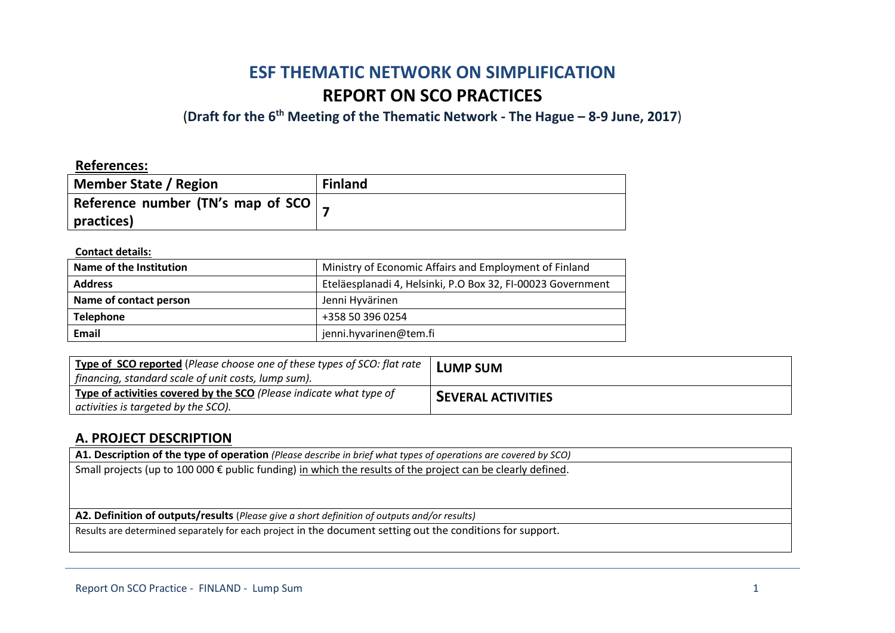# **ESF THEMATIC NETWORK ON SIMPLIFICATION REPORT ON SCO PRACTICES**

(**Draft for the 6th Meeting of the Thematic Network - The Hague – 8-9 June, 2017**)

### **References:**

| Member State / Region<br><b>Finland</b>                   |  |
|-----------------------------------------------------------|--|
| Reference number (TN's map of SCO $\vert$ ,<br>practices) |  |

### **Contact details:**

| Name of the Institution | Ministry of Economic Affairs and Employment of Finland      |
|-------------------------|-------------------------------------------------------------|
| <b>Address</b>          | Eteläesplanadi 4, Helsinki, P.O Box 32, FI-00023 Government |
| Name of contact person  | Jenni Hyvärinen                                             |
| <b>Telephone</b>        | +358 50 396 0254                                            |
| <b>Email</b>            | jenni.hyvarinen@tem.fi                                      |

| Type of SCO reported (Please choose one of these types of SCO: flat rate<br>  financing, standard scale of unit costs, lump sum). | <b>LUMP SUM</b>           |
|-----------------------------------------------------------------------------------------------------------------------------------|---------------------------|
| Type of activities covered by the SCO (Please indicate what type of<br>$\vert$ activities is targeted by the SCO).                | <b>SEVERAL ACTIVITIES</b> |

### **A. PROJECT DESCRIPTION**

**A1. Description of the type of operation** *(Please describe in brief what types of operations are covered by SCO)* Small projects (up to 100 000 € public funding) in which the results of the project can be clearly defined.

**A2. Definition of outputs/results** (*Please give a short definition of outputs and/or results)*

Results are determined separately for each project in the document setting out the conditions for support.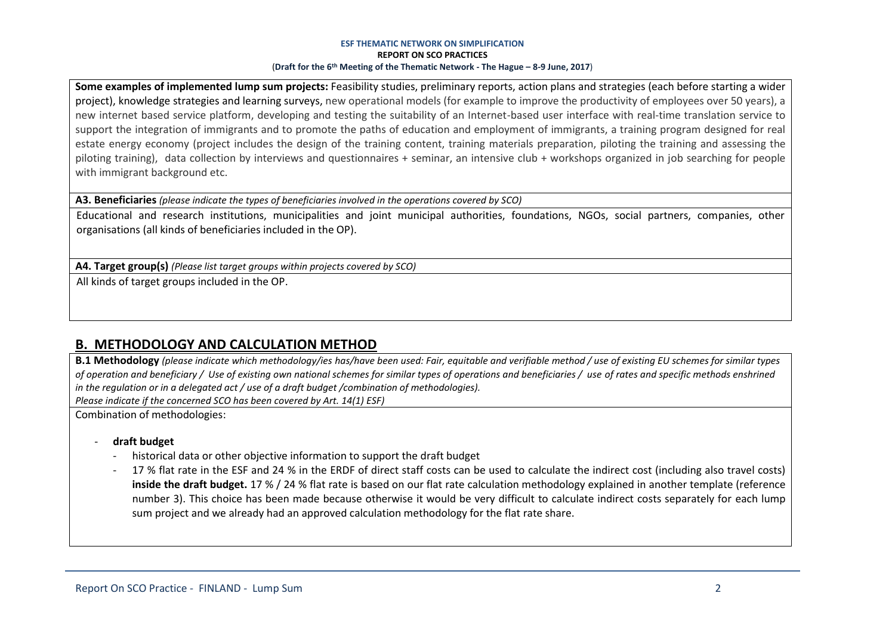**Some examples of implemented lump sum projects:** Feasibility studies, preliminary reports, action plans and strategies (each before starting a wider project), knowledge strategies and learning surveys, new operational models (for example to improve the productivity of employees over 50 years), a new internet based service platform, developing and testing the suitability of an Internet-based user interface with real-time translation service to support the integration of immigrants and to promote the paths of education and employment of immigrants, a training program designed for real estate energy economy (project includes the design of the training content, training materials preparation, piloting the training and assessing the piloting training), data collection by interviews and questionnaires + seminar, an intensive club + workshops organized in job searching for people with immigrant background etc.

**A3. Beneficiaries** *(please indicate the types of beneficiaries involved in the operations covered by SCO)*

Educational and research institutions, municipalities and joint municipal authorities, foundations, NGOs, social partners, companies, other organisations (all kinds of beneficiaries included in the OP).

**A4. Target group(s)** *(Please list target groups within projects covered by SCO)*

All kinds of target groups included in the OP.

# **B. METHODOLOGY AND CALCULATION METHOD**

**B.1 Methodology** *(please indicate which methodology/ies has/have been used: Fair, equitable and verifiable method / use of existing EU schemes for similar types of operation and beneficiary / Use of existing own national schemes for similar types of operations and beneficiaries / use of rates and specific methods enshrined in the regulation or in a delegated act / use of a draft budget /combination of methodologies).*

*Please indicate if the concerned SCO has been covered by Art. 14(1) ESF)*

Combination of methodologies:

- **draft budget** 
	- historical data or other objective information to support the draft budget
	- 17 % flat rate in the ESF and 24 % in the ERDF of direct staff costs can be used to calculate the indirect cost (including also travel costs) **inside the draft budget.** 17 % / 24 % flat rate is based on our flat rate calculation methodology explained in another template (reference number 3). This choice has been made because otherwise it would be very difficult to calculate indirect costs separately for each lump sum project and we already had an approved calculation methodology for the flat rate share.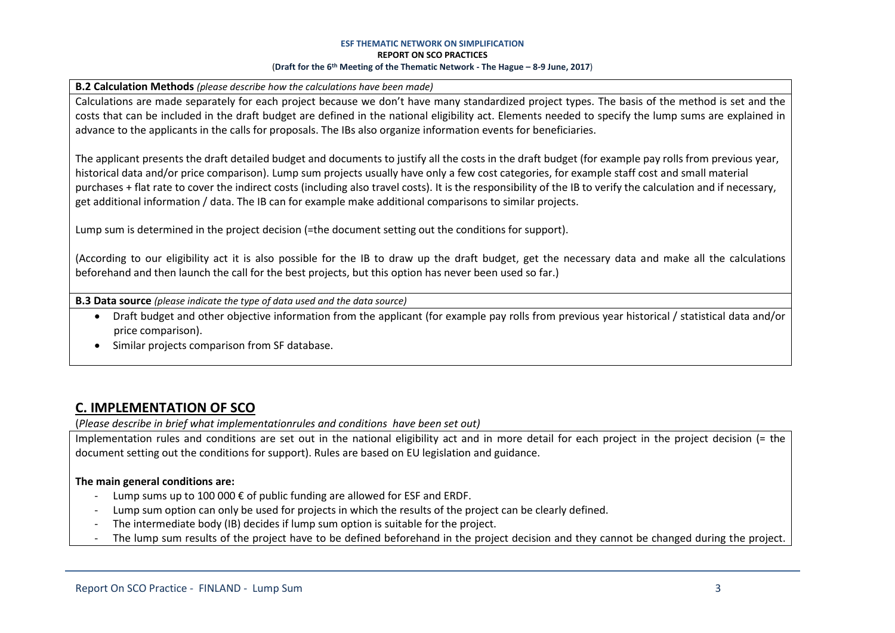**B.2 Calculation Methods** *(please describe how the calculations have been made)*

Calculations are made separately for each project because we don't have many standardized project types. The basis of the method is set and the costs that can be included in the draft budget are defined in the national eligibility act. Elements needed to specify the lump sums are explained in advance to the applicants in the calls for proposals. The IBs also organize information events for beneficiaries.

The applicant presents the draft detailed budget and documents to justify all the costs in the draft budget (for example pay rolls from previous year, historical data and/or price comparison). Lump sum projects usually have only a few cost categories, for example staff cost and small material purchases + flat rate to cover the indirect costs (including also travel costs). It is the responsibility of the IB to verify the calculation and if necessary, get additional information / data. The IB can for example make additional comparisons to similar projects.

Lump sum is determined in the project decision (=the document setting out the conditions for support).

(According to our eligibility act it is also possible for the IB to draw up the draft budget, get the necessary data and make all the calculations beforehand and then launch the call for the best projects, but this option has never been used so far.)

**B.3 Data source** *(please indicate the type of data used and the data source)*

- Draft budget and other objective information from the applicant (for example pay rolls from previous year historical / statistical data and/or price comparison).
- Similar projects comparison from SF database.

## **C. IMPLEMENTATION OF SCO**

(*Please describe in brief what implementationrules and conditions have been set out)*

Implementation rules and conditions are set out in the national eligibility act and in more detail for each project in the project decision (= the document setting out the conditions for support). Rules are based on EU legislation and guidance.

### **The main general conditions are:**

- Lump sums up to 100 000  $\epsilon$  of public funding are allowed for ESF and ERDF.
- Lump sum option can only be used for projects in which the results of the project can be clearly defined.
- The intermediate body (IB) decides if lump sum option is suitable for the project.
- The lump sum results of the project have to be defined beforehand in the project decision and they cannot be changed during the project.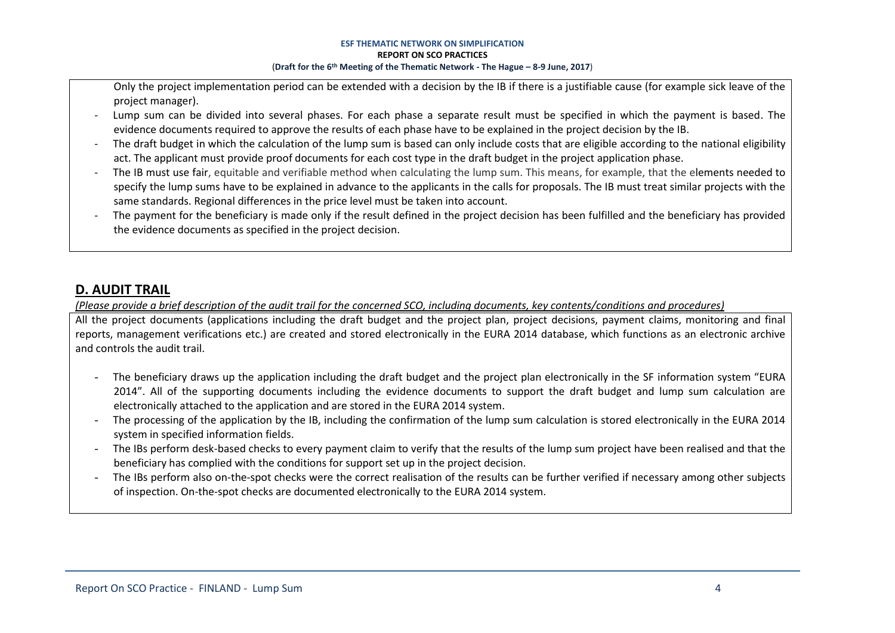Only the project implementation period can be extended with a decision by the IB if there is a justifiable cause (for example sick leave of the project manager).

- Lump sum can be divided into several phases. For each phase a separate result must be specified in which the payment is based. The evidence documents required to approve the results of each phase have to be explained in the project decision by the IB.
- The draft budget in which the calculation of the lump sum is based can only include costs that are eligible according to the national eligibility act. The applicant must provide proof documents for each cost type in the draft budget in the project application phase.
- The IB must use fair, equitable and verifiable method when calculating the lump sum. This means, for example, that the elements needed to specify the lump sums have to be explained in advance to the applicants in the calls for proposals. The IB must treat similar projects with the same standards. Regional differences in the price level must be taken into account.
- The payment for the beneficiary is made only if the result defined in the project decision has been fulfilled and the beneficiary has provided the evidence documents as specified in the project decision.

### **D. AUDIT TRAIL**

*(Please provide a brief description of the audit trail for the concerned SCO, including documents, key contents/conditions and procedures)*

All the project documents (applications including the draft budget and the project plan, project decisions, payment claims, monitoring and final reports, management verifications etc.) are created and stored electronically in the EURA 2014 database, which functions as an electronic archive and controls the audit trail.

- The beneficiary draws up the application including the draft budget and the project plan electronically in the SF information system "EURA 2014". All of the supporting documents including the evidence documents to support the draft budget and lump sum calculation are electronically attached to the application and are stored in the EURA 2014 system.
- The processing of the application by the IB, including the confirmation of the lump sum calculation is stored electronically in the EURA 2014 system in specified information fields.
- The IBs perform desk-based checks to every payment claim to verify that the results of the lump sum project have been realised and that the beneficiary has complied with the conditions for support set up in the project decision.
- The IBs perform also on-the-spot checks were the correct realisation of the results can be further verified if necessary among other subjects of inspection. On-the-spot checks are documented electronically to the EURA 2014 system.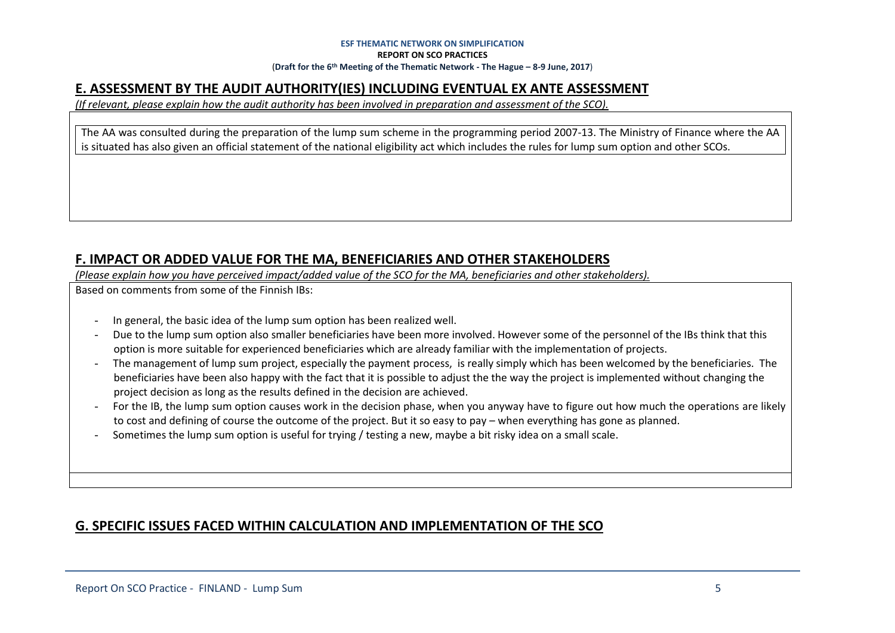## **E. ASSESSMENT BY THE AUDIT AUTHORITY(IES) INCLUDING EVENTUAL EX ANTE ASSESSMENT**

*(If relevant, please explain how the audit authority has been involved in preparation and assessment of the SCO).* 

The AA was consulted during the preparation of the lump sum scheme in the programming period 2007-13. The Ministry of Finance where the AA is situated has also given an official statement of the national eligibility act which includes the rules for lump sum option and other SCOs.

# **F. IMPACT OR ADDED VALUE FOR THE MA, BENEFICIARIES AND OTHER STAKEHOLDERS**

*(Please explain how you have perceived impact/added value of the SCO for the MA, beneficiaries and other stakeholders).* 

Based on comments from some of the Finnish IBs:

- In general, the basic idea of the lump sum option has been realized well.
- Due to the lump sum option also smaller beneficiaries have been more involved. However some of the personnel of the IBs think that this option is more suitable for experienced beneficiaries which are already familiar with the implementation of projects.
- The management of lump sum project, especially the payment process, is really simply which has been welcomed by the beneficiaries. The beneficiaries have been also happy with the fact that it is possible to adjust the the way the project is implemented without changing the project decision as long as the results defined in the decision are achieved.
- For the IB, the lump sum option causes work in the decision phase, when you anyway have to figure out how much the operations are likely to cost and defining of course the outcome of the project. But it so easy to pay – when everything has gone as planned.
- Sometimes the lump sum option is useful for trying / testing a new, maybe a bit risky idea on a small scale.

### **G. SPECIFIC ISSUES FACED WITHIN CALCULATION AND IMPLEMENTATION OF THE SCO**